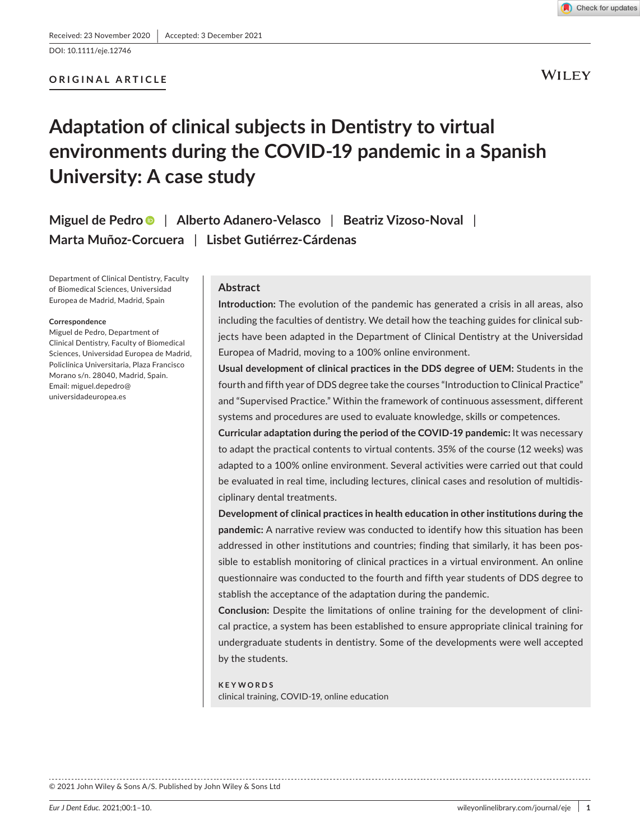DOI: 10.1111/eje.12746

## **ORIGINAL ARTICLE**

**WILEY** 

# **Adaptation of clinical subjects in Dentistry to virtual environments during the COVID-19 pandemic in a Spanish University: A case study**

**Miguel de Pedr[o](https://orcid.org/0000-0002-7873-8000)** | **Alberto Adanero-Velasco** | **Beatriz Vizoso-Noval** | **Marta Muñoz-Corcuera** | **Lisbet Gutiérrez-Cárdenas**

Department of Clinical Dentistry, Faculty of Biomedical Sciences, Universidad Europea de Madrid, Madrid, Spain

#### **Correspondence**

Miguel de Pedro, Department of Clinical Dentistry, Faculty of Biomedical Sciences, Universidad Europea de Madrid, Policlínica Universitaria, Plaza Francisco Morano s/n. 28040, Madrid, Spain. Email: [miguel.depedro@](mailto:miguel.depedro@universidadeuropea.es) [universidadeuropea.es](mailto:miguel.depedro@universidadeuropea.es)

#### **Abstract**

**Introduction:** The evolution of the pandemic has generated a crisis in all areas, also including the faculties of dentistry. We detail how the teaching guides for clinical subjects have been adapted in the Department of Clinical Dentistry at the Universidad Europea of Madrid, moving to a 100% online environment.

**Usual development of clinical practices in the DDS degree of UEM:** Students in the fourth and fifth year of DDS degree take the courses "Introduction to Clinical Practice" and "Supervised Practice." Within the framework of continuous assessment, different systems and procedures are used to evaluate knowledge, skills or competences.

**Curricular adaptation during the period of the COVID-19 pandemic:** It was necessary to adapt the practical contents to virtual contents. 35% of the course (12 weeks) was adapted to a 100% online environment. Several activities were carried out that could be evaluated in real time, including lectures, clinical cases and resolution of multidisciplinary dental treatments.

**Development of clinical practices in health education in other institutions during the pandemic:** A narrative review was conducted to identify how this situation has been addressed in other institutions and countries; finding that similarly, it has been possible to establish monitoring of clinical practices in a virtual environment. An online questionnaire was conducted to the fourth and fifth year students of DDS degree to stablish the acceptance of the adaptation during the pandemic.

**Conclusion:** Despite the limitations of online training for the development of clinical practice, a system has been established to ensure appropriate clinical training for undergraduate students in dentistry. Some of the developments were well accepted by the students.

**KEYWORDS** clinical training, COVID-19, online education

© 2021 John Wiley & Sons A/S. Published by John Wiley & Sons Ltd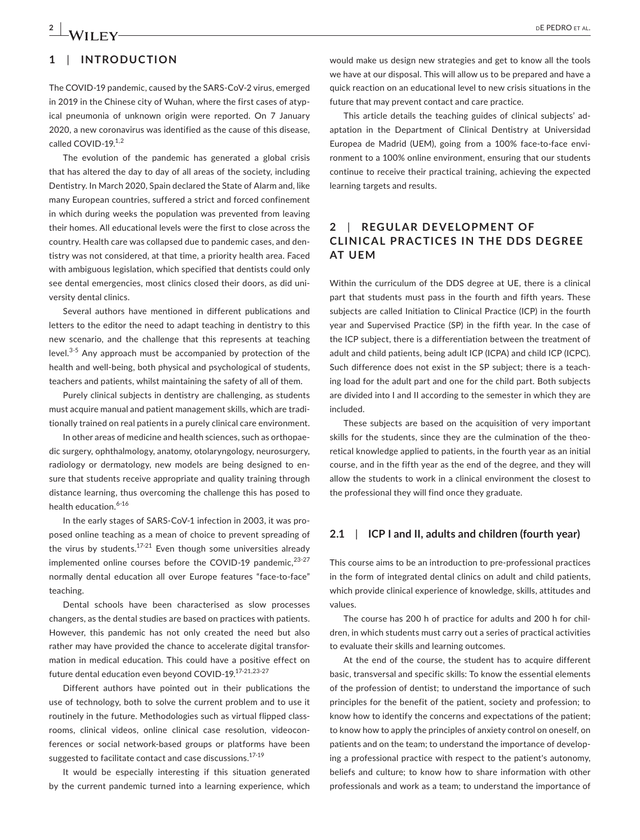# **1**  | **INTRODUCTION**

The COVID-19 pandemic, caused by the SARS-CoV-2 virus, emerged in 2019 in the Chinese city of Wuhan, where the first cases of atypical pneumonia of unknown origin were reported. On 7 January 2020, a new coronavirus was identified as the cause of this disease, called COVID-19.1,2

The evolution of the pandemic has generated a global crisis that has altered the day to day of all areas of the society, including Dentistry. In March 2020, Spain declared the State of Alarm and, like many European countries, suffered a strict and forced confinement in which during weeks the population was prevented from leaving their homes. All educational levels were the first to close across the country. Health care was collapsed due to pandemic cases, and dentistry was not considered, at that time, a priority health area. Faced with ambiguous legislation, which specified that dentists could only see dental emergencies, most clinics closed their doors, as did university dental clinics.

Several authors have mentioned in different publications and letters to the editor the need to adapt teaching in dentistry to this new scenario, and the challenge that this represents at teaching level.<sup>3-5</sup> Any approach must be accompanied by protection of the health and well-being, both physical and psychological of students, teachers and patients, whilst maintaining the safety of all of them.

Purely clinical subjects in dentistry are challenging, as students must acquire manual and patient management skills, which are traditionally trained on real patients in a purely clinical care environment.

In other areas of medicine and health sciences, such as orthopaedic surgery, ophthalmology, anatomy, otolaryngology, neurosurgery, radiology or dermatology, new models are being designed to ensure that students receive appropriate and quality training through distance learning, thus overcoming the challenge this has posed to health education.<sup>6-16</sup>

In the early stages of SARS-CoV-1 infection in 2003, it was proposed online teaching as a mean of choice to prevent spreading of the virus by students.<sup>17-21</sup> Even though some universities already implemented online courses before the COVID-19 pandemic,  $23-27$ normally dental education all over Europe features "face-to-face" teaching.

Dental schools have been characterised as slow processes changers, as the dental studies are based on practices with patients. However, this pandemic has not only created the need but also rather may have provided the chance to accelerate digital transformation in medical education. This could have a positive effect on future dental education even beyond COVID-19.17-21,23-27

Different authors have pointed out in their publications the use of technology, both to solve the current problem and to use it routinely in the future. Methodologies such as virtual flipped classrooms, clinical videos, online clinical case resolution, videoconferences or social network-based groups or platforms have been suggested to facilitate contact and case discussions.<sup>17-19</sup>

It would be especially interesting if this situation generated by the current pandemic turned into a learning experience, which would make us design new strategies and get to know all the tools we have at our disposal. This will allow us to be prepared and have a quick reaction on an educational level to new crisis situations in the future that may prevent contact and care practice.

This article details the teaching guides of clinical subjects' adaptation in the Department of Clinical Dentistry at Universidad Europea de Madrid (UEM), going from a 100% face-to-face environment to a 100% online environment, ensuring that our students continue to receive their practical training, achieving the expected learning targets and results.

# **2**  | **REGUL AR DE VELOPMENT OF CLINIC AL PR AC TICES IN THE DDS DEGREE AT UEM**

Within the curriculum of the DDS degree at UE, there is a clinical part that students must pass in the fourth and fifth years. These subjects are called Initiation to Clinical Practice (ICP) in the fourth year and Supervised Practice (SP) in the fifth year. In the case of the ICP subject, there is a differentiation between the treatment of adult and child patients, being adult ICP (ICPA) and child ICP (ICPC). Such difference does not exist in the SP subject; there is a teaching load for the adult part and one for the child part. Both subjects are divided into I and II according to the semester in which they are included.

These subjects are based on the acquisition of very important skills for the students, since they are the culmination of the theoretical knowledge applied to patients, in the fourth year as an initial course, and in the fifth year as the end of the degree, and they will allow the students to work in a clinical environment the closest to the professional they will find once they graduate.

## **2.1**  | **ICP I and II, adults and children (fourth year)**

This course aims to be an introduction to pre-professional practices in the form of integrated dental clinics on adult and child patients, which provide clinical experience of knowledge, skills, attitudes and values.

The course has 200 h of practice for adults and 200 h for children, in which students must carry out a series of practical activities to evaluate their skills and learning outcomes.

At the end of the course, the student has to acquire different basic, transversal and specific skills: To know the essential elements of the profession of dentist; to understand the importance of such principles for the benefit of the patient, society and profession; to know how to identify the concerns and expectations of the patient; to know how to apply the principles of anxiety control on oneself, on patients and on the team; to understand the importance of developing a professional practice with respect to the patient's autonomy, beliefs and culture; to know how to share information with other professionals and work as a team; to understand the importance of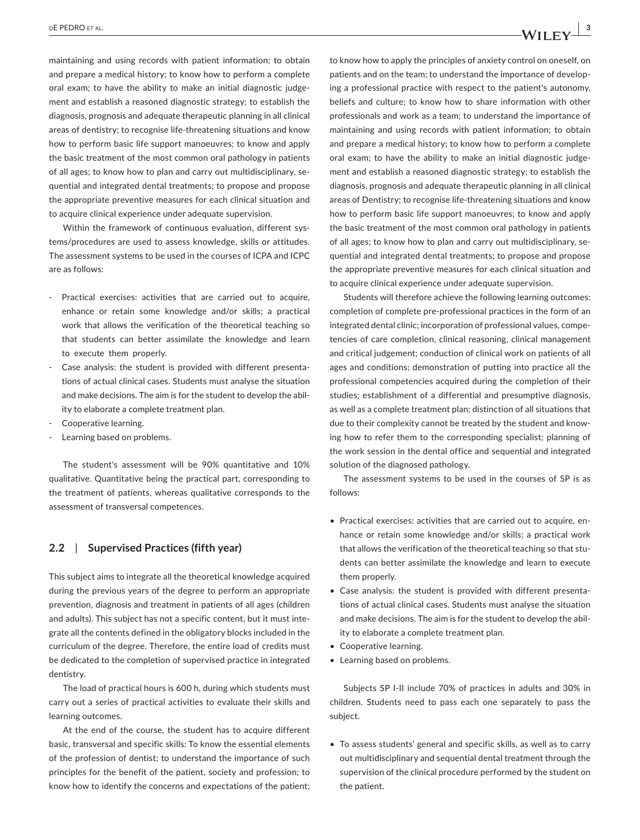maintaining and using records with patient information; to obtain and prepare a medical history; to know how to perform a complete oral exam; to have the ability to make an initial diagnostic judgement and establish a reasoned diagnostic strategy; to establish the diagnosis, prognosis and adequate therapeutic planning in all clinical areas of dentistry; to recognise life-threatening situations and know how to perform basic life support manoeuvres; to know and apply the basic treatment of the most common oral pathology in patients of all ages; to know how to plan and carry out multidisciplinary, sequential and integrated dental treatments; to propose and propose the appropriate preventive measures for each clinical situation and to acquire clinical experience under adequate supervision.

Within the framework of continuous evaluation, different systems/procedures are used to assess knowledge, skills or attitudes. The assessment systems to be used in the courses of ICPA and ICPC are as follows:

- Practical exercises: activities that are carried out to acquire, enhance or retain some knowledge and/or skills; a practical work that allows the verification of the theoretical teaching so that students can better assimilate the knowledge and learn to execute them properly.
- Case analysis: the student is provided with different presentations of actual clinical cases. Students must analyse the situation and make decisions. The aim is for the student to develop the ability to elaborate a complete treatment plan.
- Cooperative learning.
- Learning based on problems.

The student's assessment will be 90% quantitative and 10% qualitative. Quantitative being the practical part, corresponding to the treatment of patients, whereas qualitative corresponds to the assessment of transversal competences.

# **2.2**  | **Supervised Practices (fifth year)**

This subject aims to integrate all the theoretical knowledge acquired during the previous years of the degree to perform an appropriate prevention, diagnosis and treatment in patients of all ages (children and adults). This subject has not a specific content, but it must integrate all the contents defined in the obligatory blocks included in the curriculum of the degree. Therefore, the entire load of credits must be dedicated to the completion of supervised practice in integrated dentistry.

The load of practical hours is 600 h, during which students must carry out a series of practical activities to evaluate their skills and learning outcomes.

At the end of the course, the student has to acquire different basic, transversal and specific skills: To know the essential elements of the profession of dentist; to understand the importance of such principles for the benefit of the patient, society and profession; to know how to identify the concerns and expectations of the patient;

to know how to apply the principles of anxiety control on oneself, on patients and on the team; to understand the importance of developing a professional practice with respect to the patient's autonomy, beliefs and culture; to know how to share information with other professionals and work as a team; to understand the importance of maintaining and using records with patient information; to obtain and prepare a medical history; to know how to perform a complete oral exam; to have the ability to make an initial diagnostic judgement and establish a reasoned diagnostic strategy; to establish the diagnosis, prognosis and adequate therapeutic planning in all clinical areas of Dentistry; to recognise life-threatening situations and know how to perform basic life support manoeuvres; to know and apply the basic treatment of the most common oral pathology in patients of all ages; to know how to plan and carry out multidisciplinary, sequential and integrated dental treatments; to propose and propose the appropriate preventive measures for each clinical situation and to acquire clinical experience under adequate supervision.

Students will therefore achieve the following learning outcomes: completion of complete pre-professional practices in the form of an integrated dental clinic; incorporation of professional values, competencies of care completion, clinical reasoning, clinical management and critical judgement; conduction of clinical work on patients of all ages and conditions; demonstration of putting into practice all the professional competencies acquired during the completion of their studies; establishment of a differential and presumptive diagnosis, as well as a complete treatment plan; distinction of all situations that due to their complexity cannot be treated by the student and knowing how to refer them to the corresponding specialist; planning of the work session in the dental office and sequential and integrated solution of the diagnosed pathology.

The assessment systems to be used in the courses of SP is as follows:

- Practical exercises: activities that are carried out to acquire, enhance or retain some knowledge and/or skills; a practical work that allows the verification of the theoretical teaching so that students can better assimilate the knowledge and learn to execute them properly.
- Case analysis: the student is provided with different presentations of actual clinical cases. Students must analyse the situation and make decisions. The aim is for the student to develop the ability to elaborate a complete treatment plan.
- Cooperative learning.
- Learning based on problems.

Subjects SP I-II include 70% of practices in adults and 30% in children. Students need to pass each one separately to pass the subject.

• To assess students' general and specific skills, as well as to carry out multidisciplinary and sequential dental treatment through the supervision of the clinical procedure performed by the student on the patient.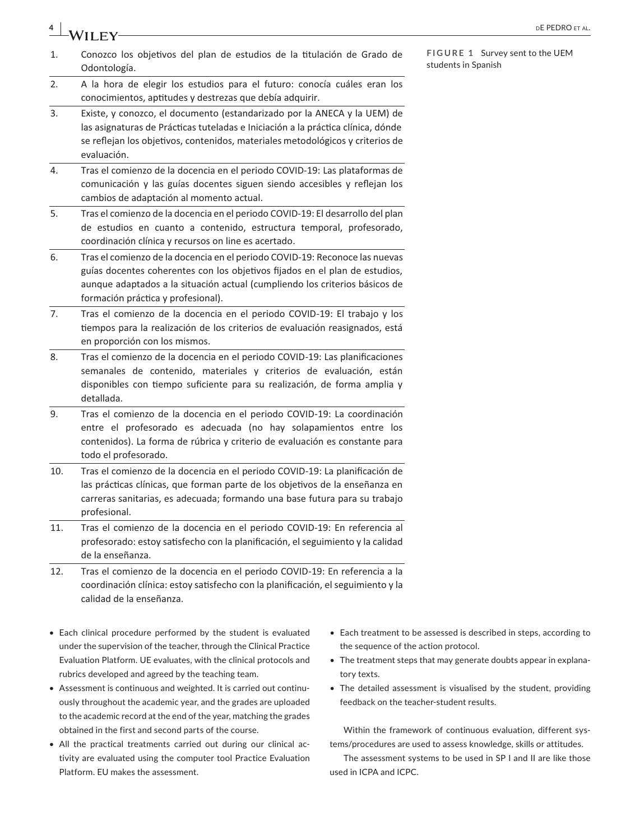|     | WILEY                                                                                                                                                                                                                                                                           | DE PEDRO ET AL.                                        |
|-----|---------------------------------------------------------------------------------------------------------------------------------------------------------------------------------------------------------------------------------------------------------------------------------|--------------------------------------------------------|
| 1.  | Conozco los objetivos del plan de estudios de la titulación de Grado de<br>Odontología.                                                                                                                                                                                         | FIGURE 1 Survey sent to the UEM<br>students in Spanish |
| 2.  | A la hora de elegir los estudios para el futuro: conocía cuáles eran los<br>conocimientos, aptitudes y destrezas que debía adquirir.                                                                                                                                            |                                                        |
| 3.  | Existe, y conozco, el documento (estandarizado por la ANECA y la UEM) de<br>las asignaturas de Prácticas tuteladas e Iniciación a la práctica clínica, dónde<br>se reflejan los objetivos, contenidos, materiales metodológicos y criterios de<br>evaluación.                   |                                                        |
| 4.  | Tras el comienzo de la docencia en el periodo COVID-19: Las plataformas de<br>comunicación y las guías docentes siguen siendo accesibles y reflejan los<br>cambios de adaptación al momento actual.                                                                             |                                                        |
| 5.  | Tras el comienzo de la docencia en el periodo COVID-19: El desarrollo del plan<br>de estudios en cuanto a contenido, estructura temporal, profesorado,<br>coordinación clínica y recursos on line es acertado.                                                                  |                                                        |
| 6.  | Tras el comienzo de la docencia en el periodo COVID-19: Reconoce las nuevas<br>guías docentes coherentes con los objetivos fijados en el plan de estudios,<br>aunque adaptados a la situación actual (cumpliendo los criterios básicos de<br>formación práctica y profesional). |                                                        |
| 7.  | Tras el comienzo de la docencia en el periodo COVID-19: El trabajo y los<br>tiempos para la realización de los criterios de evaluación reasignados, está<br>en proporción con los mismos.                                                                                       |                                                        |
| 8.  | Tras el comienzo de la docencia en el periodo COVID-19: Las planificaciones<br>semanales de contenido, materiales y criterios de evaluación, están<br>disponibles con tiempo suficiente para su realización, de forma amplia y<br>detallada.                                    |                                                        |
| 9.  | Tras el comienzo de la docencia en el periodo COVID-19: La coordinación<br>entre el profesorado es adecuada (no hay solapamientos entre los<br>contenidos). La forma de rúbrica y criterio de evaluación es constante para<br>todo el profesorado.                              |                                                        |
| 10. | Tras el comienzo de la docencia en el periodo COVID-19: La planificación de<br>las prácticas clínicas, que forman parte de los objetivos de la enseñanza en<br>carreras sanitarias, es adecuada; formando una base futura para su trabajo<br>profesional.                       |                                                        |
| 11. | Tras el comienzo de la docencia en el periodo COVID-19: En referencia al<br>profesorado: estoy satisfecho con la planificación, el seguimiento y la calidad<br>de la enseñanza.                                                                                                 |                                                        |

- 12. Tras el comienzo de la docencia en el periodo COVID-19: En referencia a la coordinación clínica: estoy satisfecho con la planificación, el seguimiento y la calidad de la enseñanza.
- Each clinical procedure performed by the student is evaluated under the supervision of the teacher, through the Clinical Practice Evaluation Platform. UE evaluates, with the clinical protocols and rubrics developed and agreed by the teaching team.
- Assessment is continuous and weighted. It is carried out continuously throughout the academic year, and the grades are uploaded to the academic record at the end of the year, matching the grades obtained in the first and second parts of the course.
- All the practical treatments carried out during our clinical activity are evaluated using the computer tool Practice Evaluation Platform. EU makes the assessment.
- Each treatment to be assessed is described in steps, according to the sequence of the action protocol.
- The treatment steps that may generate doubts appear in explanatory texts.
- The detailed assessment is visualised by the student, providing feedback on the teacher-student results.

Within the framework of continuous evaluation, different systems/procedures are used to assess knowledge, skills or attitudes.

The assessment systems to be used in SP I and II are like those used in ICPA and ICPC.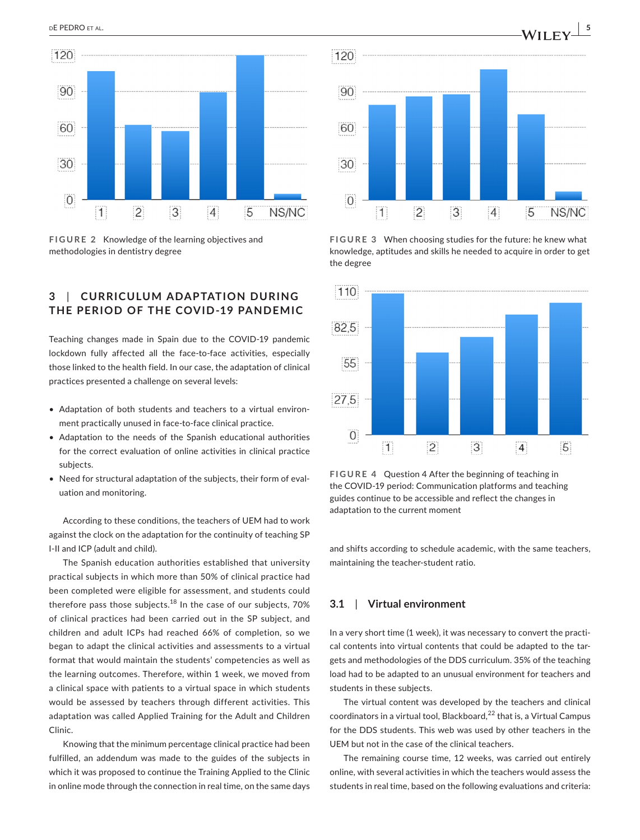



# **3**  | **CURRICULUM ADAPTATION DURING THE PERIOD OF THE COVID-19 PANDEMIC**

Teaching changes made in Spain due to the COVID-19 pandemic lockdown fully affected all the face-to-face activities, especially those linked to the health field. In our case, the adaptation of clinical practices presented a challenge on several levels:

- Adaptation of both students and teachers to a virtual environment practically unused in face-to-face clinical practice.
- Adaptation to the needs of the Spanish educational authorities for the correct evaluation of online activities in clinical practice subjects.
- Need for structural adaptation of the subjects, their form of evaluation and monitoring.

According to these conditions, the teachers of UEM had to work against the clock on the adaptation for the continuity of teaching SP I-II and ICP (adult and child).

The Spanish education authorities established that university practical subjects in which more than 50% of clinical practice had been completed were eligible for assessment, and students could therefore pass those subjects. $18$  In the case of our subjects, 70% of clinical practices had been carried out in the SP subject, and children and adult ICPs had reached 66% of completion, so we began to adapt the clinical activities and assessments to a virtual format that would maintain the students' competencies as well as the learning outcomes. Therefore, within 1 week, we moved from a clinical space with patients to a virtual space in which students would be assessed by teachers through different activities. This adaptation was called Applied Training for the Adult and Children Clinic.

Knowing that the minimum percentage clinical practice had been fulfilled, an addendum was made to the guides of the subjects in which it was proposed to continue the Training Applied to the Clinic in online mode through the connection in real time, on the same days



**FIGURE 3** When choosing studies for the future: he knew what knowledge, aptitudes and skills he needed to acquire in order to get the degree 



**FIGURE 4** Question 4 After the beginning of teaching in the COVID-19 period: Communication platforms and teaching guides continue to be accessible and reflect the changes in adaptation to the current moment 

and shifts according to schedule academic, with the same teachers, maintaining the teacher-student ratio.

## **3.1**  | **Virtual environment**

In a very short time (1 week), it was necessary to convert the practical contents into virtual contents that could be adapted to the targets and methodologies of the DDS curriculum. 35% of the teaching load had to be adapted to an unusual environment for teachers and students in these subjects.

The virtual content was developed by the teachers and clinical coordinators in a virtual tool, Blackboard, $^{22}$  that is, a Virtual Campus for the DDS students. This web was used by other teachers in the UEM but not in the case of the clinical teachers.

The remaining course time, 12 weeks, was carried out entirely online, with several activities in which the teachers would assess the students in real time, based on the following evaluations and criteria: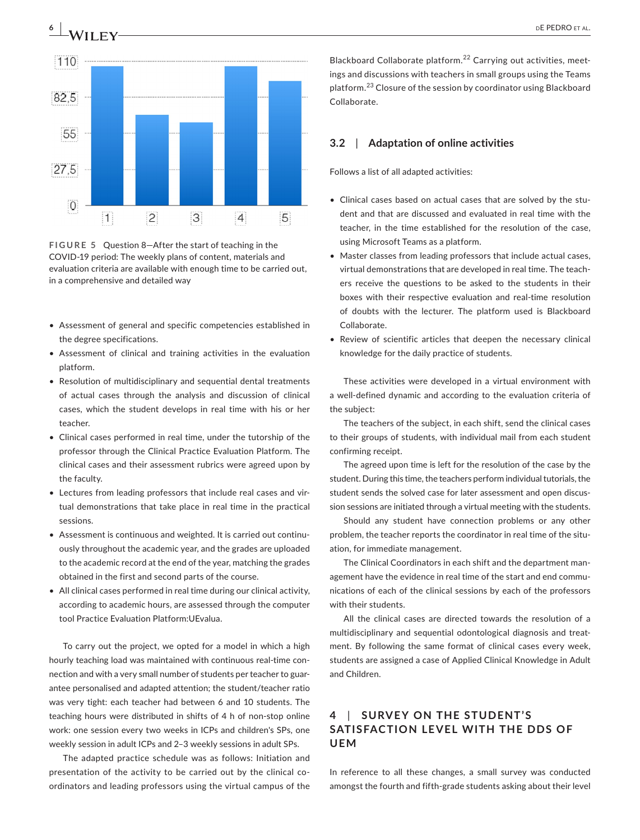

**FIGURE 5** Question 8—After the start of teaching in the COVID-19 period: The weekly plans of content, materials and evaluation criteria are available with enough time to be carried out, in a comprehensive and detailed way 

- Assessment of general and specific competencies established in the degree specifications.
- Assessment of clinical and training activities in the evaluation platform.
- Resolution of multidisciplinary and sequential dental treatments of actual cases through the analysis and discussion of clinical cases, which the student develops in real time with his or her teacher.
- Clinical cases performed in real time, under the tutorship of the professor through the Clinical Practice Evaluation Platform. The clinical cases and their assessment rubrics were agreed upon by the faculty.
- Lectures from leading professors that include real cases and virtual demonstrations that take place in real time in the practical sessions.
- Assessment is continuous and weighted. It is carried out continuously throughout the academic year, and the grades are uploaded to the academic record at the end of the year, matching the grades obtained in the first and second parts of the course.
- All clinical cases performed in real time during our clinical activity, according to academic hours, are assessed through the computer tool Practice Evaluation Platform:UEvalua.

To carry out the project, we opted for a model in which a high hourly teaching load was maintained with continuous real-time connection and with a very small number of students per teacher to guarantee personalised and adapted attention; the student/teacher ratio was very tight: each teacher had between 6 and 10 students. The teaching hours were distributed in shifts of 4 h of non-stop online work: one session every two weeks in ICPs and children's SPs, one weekly session in adult ICPs and 2–3 weekly sessions in adult SPs.

The adapted practice schedule was as follows: Initiation and presentation of the activity to be carried out by the clinical coordinators and leading professors using the virtual campus of the

Blackboard Collaborate platform.22 Carrying out activities, meetings and discussions with teachers in small groups using the Teams platform.23 Closure of the session by coordinator using Blackboard Collaborate.

# **3.2**  | **Adaptation of online activities**

Follows a list of all adapted activities:

- Clinical cases based on actual cases that are solved by the student and that are discussed and evaluated in real time with the teacher, in the time established for the resolution of the case, using Microsoft Teams as a platform.
- Master classes from leading professors that include actual cases, virtual demonstrations that are developed in real time. The teachers receive the questions to be asked to the students in their boxes with their respective evaluation and real-time resolution of doubts with the lecturer. The platform used is Blackboard Collaborate.
- Review of scientific articles that deepen the necessary clinical knowledge for the daily practice of students.

These activities were developed in a virtual environment with a well-defined dynamic and according to the evaluation criteria of the subject:

The teachers of the subject, in each shift, send the clinical cases to their groups of students, with individual mail from each student confirming receipt.

The agreed upon time is left for the resolution of the case by the student. During this time, the teachers perform individual tutorials, the student sends the solved case for later assessment and open discussion sessions are initiated through a virtual meeting with the students.

Should any student have connection problems or any other problem, the teacher reports the coordinator in real time of the situation, for immediate management.

The Clinical Coordinators in each shift and the department management have the evidence in real time of the start and end communications of each of the clinical sessions by each of the professors with their students.

All the clinical cases are directed towards the resolution of a multidisciplinary and sequential odontological diagnosis and treatment. By following the same format of clinical cases every week, students are assigned a case of Applied Clinical Knowledge in Adult and Children.

# **4**  | **SURVE Y ON THE STUDENT'S SATISFACTION LEVEL WITH THE DDS OF UEM**

In reference to all these changes, a small survey was conducted amongst the fourth and fifth-grade students asking about their level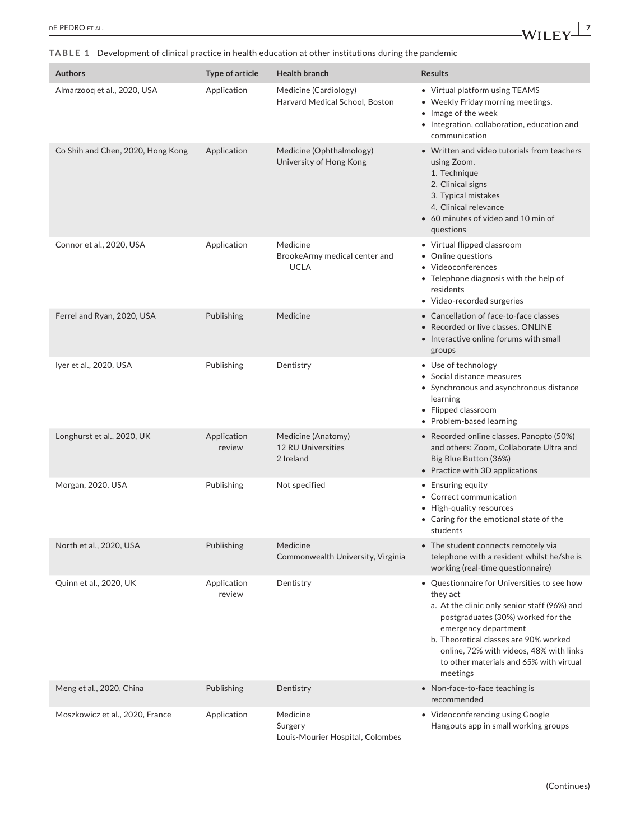**TABLE 1** Development of clinical practice in health education at other institutions during the pandemic

| <b>Authors</b>                    | Type of article       | <b>Health branch</b>                                         | <b>Results</b>                                                                                                                                                                                                                                                                                                   |
|-----------------------------------|-----------------------|--------------------------------------------------------------|------------------------------------------------------------------------------------------------------------------------------------------------------------------------------------------------------------------------------------------------------------------------------------------------------------------|
| Almarzoog et al., 2020, USA       | Application           | Medicine (Cardiology)<br>Harvard Medical School, Boston      | • Virtual platform using TEAMS<br>• Weekly Friday morning meetings.<br>• Image of the week<br>• Integration, collaboration, education and<br>communication                                                                                                                                                       |
| Co Shih and Chen, 2020, Hong Kong | Application           | Medicine (Ophthalmology)<br>University of Hong Kong          | • Written and video tutorials from teachers<br>using Zoom.<br>1. Technique<br>2. Clinical signs<br>3. Typical mistakes<br>4. Clinical relevance<br>• 60 minutes of video and 10 min of<br>questions                                                                                                              |
| Connor et al., 2020, USA          | Application           | Medicine<br>BrookeArmy medical center and<br><b>UCLA</b>     | • Virtual flipped classroom<br>• Online questions<br>• Videoconferences<br>• Telephone diagnosis with the help of<br>residents<br>• Video-recorded surgeries                                                                                                                                                     |
| Ferrel and Ryan, 2020, USA        | Publishing            | Medicine                                                     | • Cancellation of face-to-face classes<br>• Recorded or live classes. ONLINE<br>• Interactive online forums with small<br>groups                                                                                                                                                                                 |
| Iyer et al., 2020, USA            | Publishing            | Dentistry                                                    | • Use of technology<br>• Social distance measures<br>• Synchronous and asynchronous distance<br>learning<br>• Flipped classroom<br>• Problem-based learning                                                                                                                                                      |
| Longhurst et al., 2020, UK        | Application<br>review | Medicine (Anatomy)<br><b>12 RU Universities</b><br>2 Ireland | • Recorded online classes. Panopto (50%)<br>and others: Zoom, Collaborate Ultra and<br>Big Blue Button (36%)<br>• Practice with 3D applications                                                                                                                                                                  |
| Morgan, 2020, USA                 | Publishing            | Not specified                                                | • Ensuring equity<br>• Correct communication<br>• High-quality resources<br>• Caring for the emotional state of the<br>students                                                                                                                                                                                  |
| North et al., 2020, USA           | Publishing            | Medicine<br>Commonwealth University, Virginia                | • The student connects remotely via<br>telephone with a resident whilst he/she is<br>working (real-time questionnaire)                                                                                                                                                                                           |
| Quinn et al., 2020, UK            | Application<br>review | Dentistry                                                    | • Questionnaire for Universities to see how<br>they act<br>a. At the clinic only senior staff (96%) and<br>postgraduates (30%) worked for the<br>emergency department<br>b. Theoretical classes are 90% worked<br>online, 72% with videos, 48% with links<br>to other materials and 65% with virtual<br>meetings |
| Meng et al., 2020, China          | Publishing            | Dentistry                                                    | • Non-face-to-face teaching is<br>recommended                                                                                                                                                                                                                                                                    |
| Moszkowicz et al., 2020, France   | Application           | Medicine<br>Surgery                                          | • Videoconferencing using Google<br>Hangouts app in small working groups                                                                                                                                                                                                                                         |

Louis-Mourier Hospital, Colombes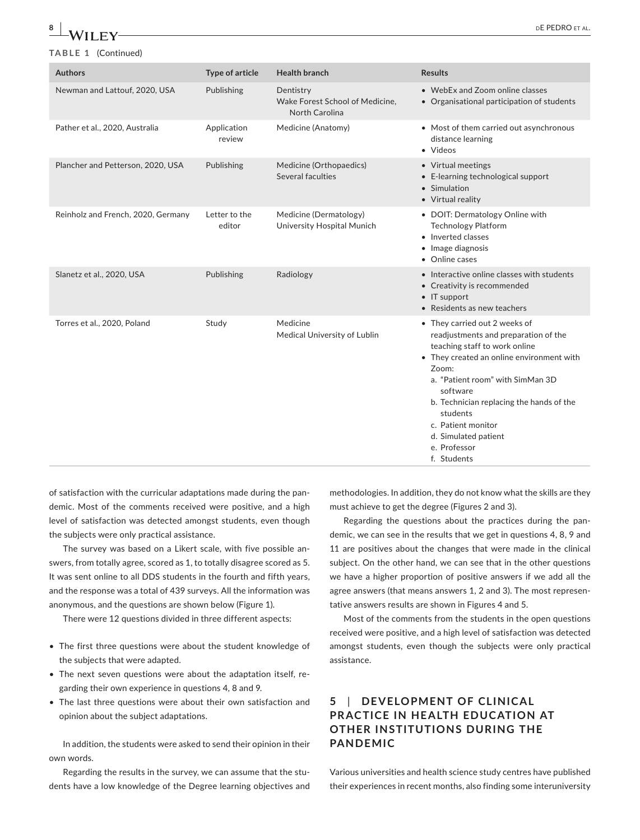## **TABLE 1** (Continued)

| <b>Authors</b>                     | <b>Type of article</b>  | <b>Health branch</b>                                           | <b>Results</b>                                                                                                                                                                                                                                                                                                                                    |
|------------------------------------|-------------------------|----------------------------------------------------------------|---------------------------------------------------------------------------------------------------------------------------------------------------------------------------------------------------------------------------------------------------------------------------------------------------------------------------------------------------|
| Newman and Lattouf, 2020, USA      | Publishing              | Dentistry<br>Wake Forest School of Medicine,<br>North Carolina | • WebEx and Zoom online classes<br>• Organisational participation of students                                                                                                                                                                                                                                                                     |
| Pather et al., 2020, Australia     | Application<br>review   | Medicine (Anatomy)                                             | • Most of them carried out asynchronous<br>distance learning<br>· Videos                                                                                                                                                                                                                                                                          |
| Plancher and Petterson, 2020, USA  | Publishing              | Medicine (Orthopaedics)<br>Several faculties                   | • Virtual meetings<br>• E-learning technological support<br>• Simulation<br>• Virtual reality                                                                                                                                                                                                                                                     |
| Reinholz and French, 2020, Germany | Letter to the<br>editor | Medicine (Dermatology)<br>University Hospital Munich           | • DOIT: Dermatology Online with<br><b>Technology Platform</b><br>• Inverted classes<br>• Image diagnosis<br>• Online cases                                                                                                                                                                                                                        |
| Slanetz et al., 2020, USA          | Publishing              | Radiology                                                      | • Interactive online classes with students<br>• Creativity is recommended<br>$\bullet$ IT support<br>• Residents as new teachers                                                                                                                                                                                                                  |
| Torres et al., 2020, Poland        | Study                   | Medicine<br>Medical University of Lublin                       | • They carried out 2 weeks of<br>readjustments and preparation of the<br>teaching staff to work online<br>• They created an online environment with<br>Zoom:<br>a. "Patient room" with SimMan 3D<br>software<br>b. Technician replacing the hands of the<br>students<br>c. Patient monitor<br>d. Simulated patient<br>e. Professor<br>f. Students |

of satisfaction with the curricular adaptations made during the pandemic. Most of the comments received were positive, and a high level of satisfaction was detected amongst students, even though the subjects were only practical assistance.

The survey was based on a Likert scale, with five possible answers, from totally agree, scored as 1, to totally disagree scored as 5. It was sent online to all DDS students in the fourth and fifth years, and the response was a total of 439 surveys. All the information was anonymous, and the questions are shown below (Figure 1).

There were 12 questions divided in three different aspects:

- The first three questions were about the student knowledge of the subjects that were adapted.
- The next seven questions were about the adaptation itself, regarding their own experience in questions 4, 8 and 9.
- The last three questions were about their own satisfaction and opinion about the subject adaptations.

In addition, the students were asked to send their opinion in their own words.

Regarding the results in the survey, we can assume that the students have a low knowledge of the Degree learning objectives and

methodologies. In addition, they do not know what the skills are they must achieve to get the degree (Figures 2 and 3).

Regarding the questions about the practices during the pandemic, we can see in the results that we get in questions 4, 8, 9 and 11 are positives about the changes that were made in the clinical subject. On the other hand, we can see that in the other questions we have a higher proportion of positive answers if we add all the agree answers (that means answers 1, 2 and 3). The most representative answers results are shown in Figures 4 and 5.

Most of the comments from the students in the open questions received were positive, and a high level of satisfaction was detected amongst students, even though the subjects were only practical assistance.

# **5**  | **DE VELOPMENT OF CLINIC AL PRACTICE IN HEALTH EDUCATION AT OTHER INSTITUTIONS DURING THE PANDEMIC**

Various universities and health science study centres have published their experiences in recent months, also finding some interuniversity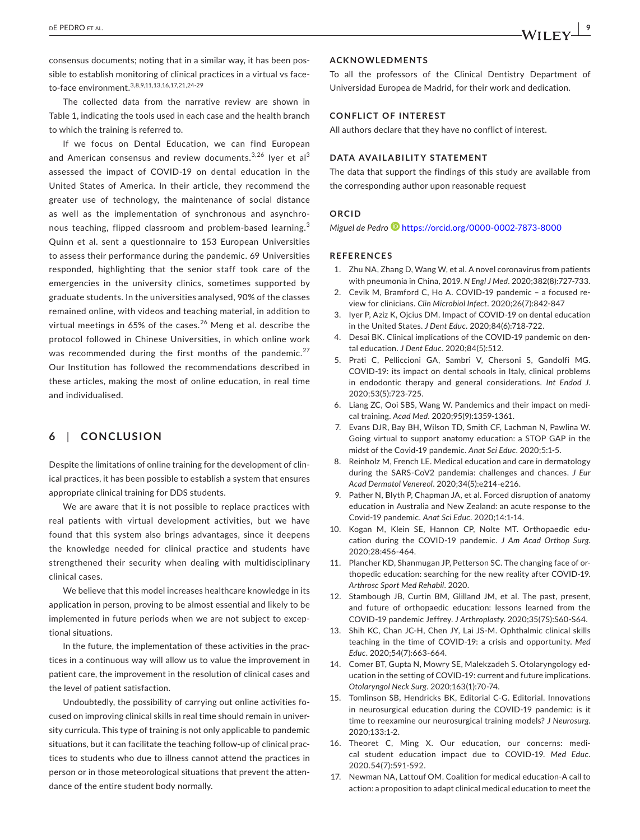consensus documents; noting that in a similar way, it has been possible to establish monitoring of clinical practices in a virtual vs faceto-face environment.3,8,9,11,13,16,17,21,24-29

The collected data from the narrative review are shown in Table 1, indicating the tools used in each case and the health branch to which the training is referred to.

If we focus on Dental Education, we can find European and American consensus and review documents. $3,26$  lyer et al $3$ assessed the impact of COVID-19 on dental education in the United States of America. In their article, they recommend the greater use of technology, the maintenance of social distance as well as the implementation of synchronous and asynchronous teaching, flipped classroom and problem-based learning.<sup>3</sup> Quinn et al. sent a questionnaire to 153 European Universities to assess their performance during the pandemic. 69 Universities responded, highlighting that the senior staff took care of the emergencies in the university clinics, sometimes supported by graduate students. In the universities analysed, 90% of the classes remained online, with videos and teaching material, in addition to virtual meetings in 65% of the cases.<sup>26</sup> Meng et al. describe the protocol followed in Chinese Universities, in which online work was recommended during the first months of the pandemic.<sup>27</sup> Our Institution has followed the recommendations described in these articles, making the most of online education, in real time and individualised.

# **6**  | **CONCLUSION**

Despite the limitations of online training for the development of clinical practices, it has been possible to establish a system that ensures appropriate clinical training for DDS students.

We are aware that it is not possible to replace practices with real patients with virtual development activities, but we have found that this system also brings advantages, since it deepens the knowledge needed for clinical practice and students have strengthened their security when dealing with multidisciplinary clinical cases.

We believe that this model increases healthcare knowledge in its application in person, proving to be almost essential and likely to be implemented in future periods when we are not subject to exceptional situations.

In the future, the implementation of these activities in the practices in a continuous way will allow us to value the improvement in patient care, the improvement in the resolution of clinical cases and the level of patient satisfaction.

Undoubtedly, the possibility of carrying out online activities focused on improving clinical skills in real time should remain in university curricula. This type of training is not only applicable to pandemic situations, but it can facilitate the teaching follow-up of clinical practices to students who due to illness cannot attend the practices in person or in those meteorological situations that prevent the attendance of the entire student body normally.

#### **ACKNOWLEDMENTS**

To all the professors of the Clinical Dentistry Department of Universidad Europea de Madrid, for their work and dedication.

#### **CONFLICT OF INTEREST**

All authors declare that they have no conflict of interest.

## **DATA AVAILABILITY STATEMENT**

The data that support the findings of this study are available from the corresponding author upon reasonable request

#### **ORCID**

*Miguel de Pedro* <https://orcid.org/0000-0002-7873-8000>

#### **REFERENCES**

- 1. Zhu NA, Zhang D, Wang W, et al. A novel coronavirus from patients with pneumonia in China, 2019. *N Engl J Med*. 2020;382(8):727-733.
- 2. Cevik M, Bramford C, Ho A. COVID-19 pandemic a focused review for clinicians. *Clin Microbiol Infect*. 2020;26(7):842-847
- 3. Iyer P, Aziz K, Ojcius DM. Impact of COVID-19 on dental education in the United States. *J Dent Educ*. 2020;84(6):718-722.
- 4. Desai BK. Clinical implications of the COVID-19 pandemic on dental education. *J Dent Educ*. 2020;84(5):512.
- 5. Prati C, Pelliccioni GA, Sambri V, Chersoni S, Gandolfi MG. COVID-19: its impact on dental schools in Italy, clinical problems in endodontic therapy and general considerations. *Int Endod J*. 2020;53(5):723-725.
- 6. Liang ZC, Ooi SBS, Wang W. Pandemics and their impact on medical training. *Acad Med*. 2020;95(9):1359-1361.
- 7. Evans DJR, Bay BH, Wilson TD, Smith CF, Lachman N, Pawlina W. Going virtual to support anatomy education: a STOP GAP in the midst of the Covid-19 pandemic. *Anat Sci Educ*. 2020;5:1-5.
- Reinholz M, French LE. Medical education and care in dermatology during the SARS-CoV2 pandemia: challenges and chances. *J Eur Acad Dermatol Venereol*. 2020;34(5):e214-e216.
- 9. Pather N, Blyth P, Chapman JA, et al. Forced disruption of anatomy education in Australia and New Zealand: an acute response to the Covid-19 pandemic. *Anat Sci Educ*. 2020;14:1-14.
- 10. Kogan M, Klein SE, Hannon CP, Nolte MT. Orthopaedic education during the COVID-19 pandemic. *J Am Acad Orthop Surg*. 2020;28:456-464.
- 11. Plancher KD, Shanmugan JP, Petterson SC. The changing face of orthopedic education: searching for the new reality after COVID-19. *Arthrosc Sport Med Rehabil*. 2020.
- 12. Stambough JB, Curtin BM, Glilland JM, et al. The past, present, and future of orthopaedic education: lessons learned from the COVID-19 pandemic Jeffrey. *J Arthroplasty*. 2020;35(7S):S60-S64.
- 13. Shih KC, Chan JC-H, Chen JY, Lai JS-M. Ophthalmic clinical skills teaching in the time of COVID-19: a crisis and opportunity. *Med Educ*. 2020;54(7):663-664.
- 14. Comer BT, Gupta N, Mowry SE, Malekzadeh S. Otolaryngology education in the setting of COVID-19: current and future implications. *Otolaryngol Neck Surg*. 2020;163(1):70-74.
- 15. Tomlinson SB, Hendricks BK, Editorial C-G. Editorial. Innovations in neurosurgical education during the COVID-19 pandemic: is it time to reexamine our neurosurgical training models? *J Neurosurg*. 2020;133:1-2.
- 16. Theoret C, Ming X. Our education, our concerns: medical student education impact due to COVID-19. *Med Educ*. 2020.54(7):591-592.
- 17. Newman NA, Lattouf OM. Coalition for medical education-A call to action: a proposition to adapt clinical medical education to meet the